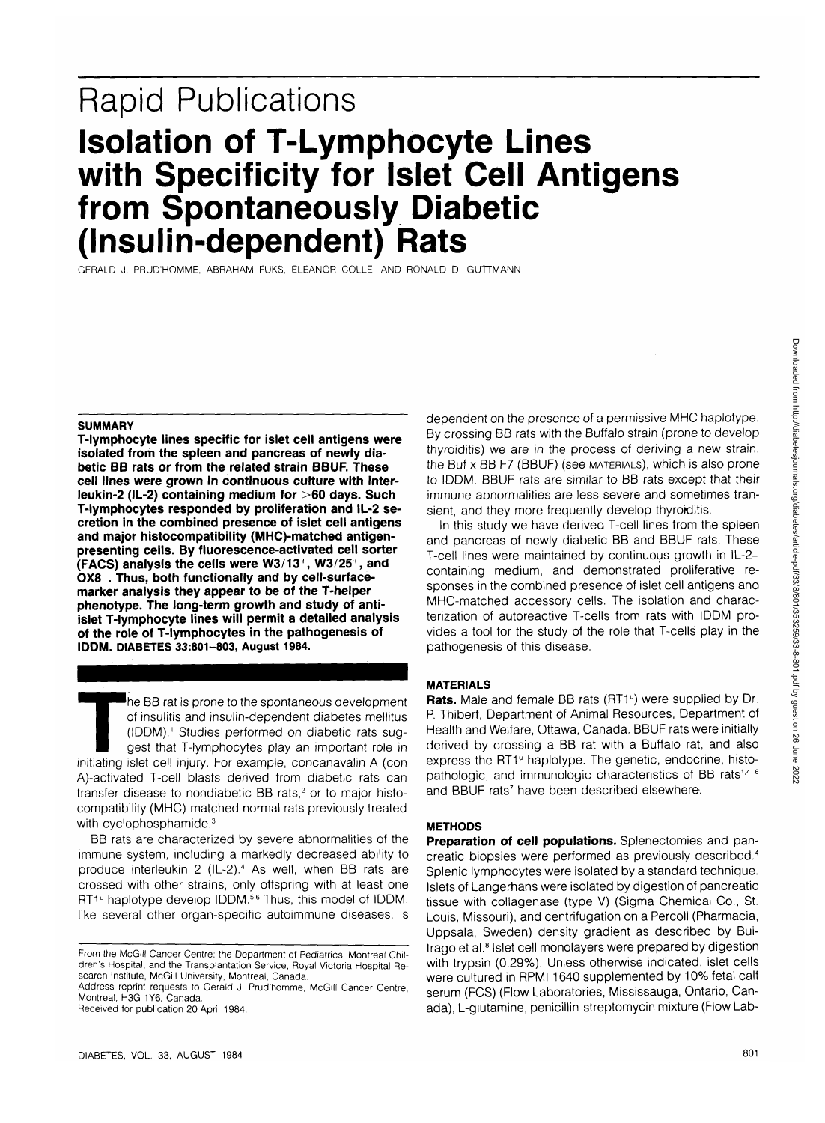# **Rapid Publications Isolation of T-Lymphocyte Lines with Specificity for Islet Cell Antigens from Spontaneously Diabetic (Insulin-dependent) Rats**

GERALD J. PRUD'HOMME, ABRAHAM FUKS, ELEANOR COLLE, AND RONALD D. GUTTMANN

### **SUMMARY**

**T-lymphocyte lines specific for islet cell antigens were isolated from the spleen and pancreas of newly diabetic BB rats or from the related strain BBUF. These cell lines were grown in continuous culture with interleukin-2 (IL-2) containing medium for >60 days. Such T-lymphocytes responded by proliferation and IL-2 secretion in the combined presence of islet cell antigens and major histocompatibility (MHC)-matched antigenpresenting cells. By fluorescence-activated cell sorter (FACS) analysis the cells were W3/13+, W3/25\ and 0X8-. Thus, both functionally and by cell-surfacemarker analysis they appear to be of the T-helper phenotype. The long-term growth and study of antiislet T-lymphocyte lines will permit a detailed analysis of the role of T-lymphocytes in the pathogenesis of IDDM. DIABETES 33:801-803, August 1984.**

The BB rat is prone to the spontaneous development<br>
of insulitis and insulin-dependent diabetic rats sug-<br>
gest that T-lymphocytes play an important role in<br>
initiating islet cell injury. For example, concanavalin A (con of insulitis and insulin-dependent diabetes mellitus (IDDM).1 Studies performed on diabetic rats suggest that T-lymphocytes play an important role in A)-activated T-cell blasts derived from diabetic rats can transfer disease to nondiabetic BB rats,<sup>2</sup> or to major histocompatibility (MHC)-matched normal rats previously treated with cyclophosphamide.<sup>3</sup>

BB rats are characterized by severe abnormalities of the immune system, including a markedly decreased ability to produce interleukin 2 (IL-2).<sup>4</sup> As well, when BB rats are crossed with other strains, only offspring with at least one RT1<sup>®</sup> haplotype develop IDDM.<sup>5,6</sup> Thus, this model of IDDM, like several other organ-specific autoimmune diseases, is

Received for publication 20 April 1984.

dependent on the presence of a permissive MHC haplotype. By crossing BB rats with the Buffalo strain (prone to develop thyroiditis) we are in the process of deriving a new strain, the Buf x BB F7 (BBUF) (see MATERIALS), which is also prone to IDDM. BBUF rats are similar to BB rats except that their immune abnormalities are less severe and sometimes transient, and they more frequently develop thyroiditis.

In this study we have derived T-cell lines from the spleen and pancreas of newly diabetic BB and BBUF rats. These T-cell lines were maintained by continuous growth in IL-2 containing medium, and demonstrated proliferative responses in the combined presence of islet cell antigens and MHC-matched accessory cells. The isolation and characterization of autoreactive T-cells from rats with IDDM provides a tool for the study of the role that T-cells play in the pathogenesis of this disease.

## **MATERIALS**

Rats. Male and female BB rats (RT1<sup>°</sup>) were supplied by Dr. P. Thibert, Department of Animal Resources, Department of Health and Welfare, Ottawa, Canada. BBUF rats were initially derived by crossing a BB rat with a Buffalo rat, and also express the RT1<sup>°</sup> haplotype. The genetic, endocrine, histopathologic, and immunologic characteristics of BB rats<sup> $1,4-6$ </sup> .<br>and BBUF rats<sup>7</sup> have been described elsewhere.

## **METHODS**

**Preparation of cell populations.** Splenectomies and pancreatic biopsies were performed as previously described.<sup>4</sup> Splenic lymphocytes were isolated by a standard technique. Islets of Langerhans were isolated by digestion of pancreatic tissue with collagenase (type V) (Sigma Chemical Co., St. Louis, Missouri), and centrifugation on a Percoll (Pharmacia, Uppsala, Sweden) density gradient as described by Buitrago et al.<sup>8</sup> Islet cell monolayers were prepared by digestion with trypsin (0.29%). Unless otherwise indicated, islet cells were cultured in RPMI 1640 supplemented by 10% fetal calf serum (FCS) (Flow Laboratories, Mississauga, Ontario, Canada), L-glutamine, penicillin-streptomycin mixture (Flow Lab-

From the McGill Cancer Centre; the Department of Pediatrics, Montreal Children's Hospital; and the Transplantation Service, Royal Victoria Hospital Research Institute, McGill University, Montreal, Canada.

Address reprint requests to Gerald J. Prud'homme, McGill Cancer Centre, Montreal, H3G 1Y6, Canada.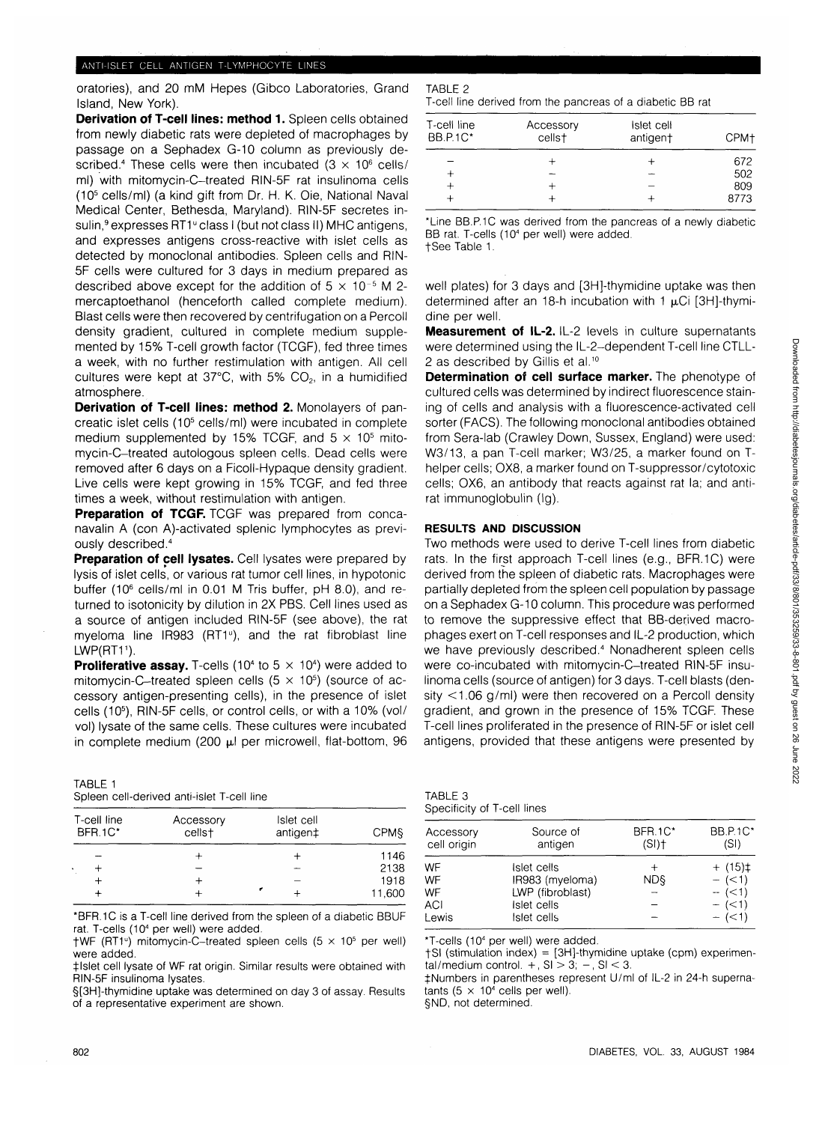# ANTI-ISLET CELL ANTIGEN T-LYMPHOCYTE LINES

oratories), and 20 mM Hepes (Gibco Laboratories, Grand Island, New York).

**Derivation of T-cell lines: method 1.** Spleen cells obtained from newly diabetic rats were depleted of macrophages by passage on a Sephadex G-10 column as previously described.<sup>4</sup> These cells were then incubated  $(3 \times 10^6 \text{ cells})$ ml) with mitomycin-C-treated RIN-5F rat insulinoma cells (105 cells/ml) (a kind gift from Dr. H. K. Oie, National Naval Medical Center, Bethesda, Maryland). RIN-5F secretes insulin,<sup>9</sup> expresses RT1<sup>°</sup> class I (but not class II) MHC antigens, and expresses antigens cross-reactive with islet cells as detected by monoclonal antibodies. Spleen cells and RIN-5F cells were cultured for 3 days in medium prepared as described above except for the addition of  $5 \times 10^{-5}$  M 2mercaptoethanol (henceforth called complete medium). Blast cells were then recovered by centrifugation on a Percoll density gradient, cultured in complete medium supplemented by 15% T-cell growth factor (TCGF), fed three times a week, with no further restimulation with antigen. All cell cultures were kept at  $37^{\circ}$ C, with 5% CO<sub>2</sub>, in a humidified atmosphere.

**Derivation of T-cell lines: method 2.** Monolayers of pancreatic islet cells (10<sup>5</sup> cells/ml) were incubated in complete medium supplemented by 15% TCGF, and  $5 \times 10^5$  mitomycin-C-treated autologous spleen cells. Dead cells were removed after 6 days on a Ficoll-Hypaque density gradient. Live cells were kept growing in 15% TCGF, and fed three times a week, without restimulation with antigen.

**Preparation of TCGF.** TCGF was prepared from concanavalin A (con A)-activated splenic lymphocytes as previously described.<sup>4</sup>

**Preparation of cell lysates.** Cell lysates were prepared by lysis of islet cells, or various rat tumor cell lines, in hypotonic buffer (10<sup>6</sup> cells/ml in 0.01 M Tris buffer, pH 8.0), and returned to isotonicity by dilution in 2X PBS. Cell lines used as a source of antigen included RIN-5F (see above), the rat myeloma line IR983 (RT1<sup>0</sup>), and the rat fibroblast line LWP(RT1<sup>1</sup>).

**Proliferative assay.** T-cells (10<sup>4</sup> to 5  $\times$  10<sup>4</sup>) were added to mitomycin-C-treated spleen cells (5  $\times$  10<sup>5</sup>) (source of accessory antigen-presenting cells), in the presence of islet cells (105 ), RIN-5F cells, or control cells, or with a 10% (vol/ vol) lysate of the same cells. These cultures were incubated in complete medium (200 µl per microwell, flat-bottom, 96

| TABLE 1 |                                            |  |  |
|---------|--------------------------------------------|--|--|
|         | Spleen cell-derived anti-islet T-cell line |  |  |

| T-cell line<br><b>BFR.1C*</b> | Accessory<br>cells <sup>+</sup> | Islet cell<br>antigen‡ | <b>CPMS</b> |
|-------------------------------|---------------------------------|------------------------|-------------|
|                               |                                 |                        | 1146        |
| ٠                             |                                 | -                      | 2138        |
|                               |                                 |                        | 1918        |
|                               |                                 |                        | 11,600      |

\*BFR.1C is a T-cell line derived from the spleen of a diabetic BBUF rat. T-cells (10<sup>4</sup> per well) were added.

 $\dagger$ WF (RT1<sup>v</sup>) mitomycin-C-treated spleen cells (5  $\times$  10<sup>5</sup> per well) were added.

t-lslet cell lysate of WF rat origin. Similar results were obtained with RIN-5F insulinoma lysates.

§[3H]-thymidine uptake was determined on day 3 of assay. Results of a representative experiment are shown.

## TABLE 2

T-cell line derived from the pancreas of a diabetic BB rat

| T-cell line<br><b>BB.P.1C*</b> | Accessory<br>cellst | Islet cell<br>antigen† | CPM+ |
|--------------------------------|---------------------|------------------------|------|
|                                |                     |                        | 672  |
|                                |                     |                        | 502  |
|                                |                     |                        | 809  |
|                                |                     |                        | 8773 |
|                                |                     |                        |      |

\*Line BB.P.1C was derived from the pancreas of a newly diabetic BB rat. T-cells (10<sup>4</sup> per well) were added. tSee Table 1.

well plates) for 3 days and [3H]-thymidine uptake was then determined after an 18-h incubation with 1  $\mu$ Ci [3H]-thymidine per well.

**Measurement of IL-2.** IL-2 levels in culture supernatants were determined using the IL-2-dependent T-cell line CTLL-2 as described by Gillis et al.<sup>10</sup>

**Determination of cell surface marker.** The phenotype of cultured cells was determined by indirect fluorescence staining of cells and analysis with a fluorescence-activated cell sorter (FACS). The following monoclonal antibodies obtained from Sera-lab (Crawley Down, Sussex, England) were used: W3/13, a pan T-cell marker; W3/25, a marker found on Thelper cells; OX8, a marker found on T-suppressor/cytotoxic cells; OX6, an antibody that reacts against rat la; and antirat immunoglobulin (Ig).

# **RESULTS AND DISCUSSION**

Two methods were used to derive T-cell lines from diabetic rats. In the first approach T-cell lines (e.g., BFR.1C) were derived from the spleen of diabetic rats. Macrophages were partially depleted from the spleen cell population by passage on a Sephadex G-10 column. This procedure was performed to remove the suppressive effect that BB-derived macrophages exert on T-cell responses and IL-2 production, which we have previously described.<sup>4</sup> Nonadherent spleen cells were co-incubated with mitomycin-C-treated RIN-5F insulinoma cells (source of antigen) for 3 days. T-cell blasts (density <1.06 g/ml) were then recovered on a Percoll density gradient, and grown in the presence of 15% TCGF. These T-cell lines proliferated in the presence of RIN-5F or islet cell antigens, provided that these antigens were presented by

| TABLE 3                     |  |
|-----------------------------|--|
| Specificity of T-cell lines |  |

| Accessory<br>cell origin | Source of<br>antigen | BFR.1C*<br>(SI) | <b>BB.P.1C*</b><br>(SI) |
|--------------------------|----------------------|-----------------|-------------------------|
| WF                       | Islet cells          | $\pm$           | $+$ (15) $\pm$          |
| WF                       | IR983 (myeloma)      | ND§             | $- (-1)$                |
| WF                       | LWP (fibroblast)     |                 | $- (-1)$                |
| <b>ACI</b>               | Islet cells          |                 | $-$ ( $<$ 1)            |
| Lewis                    | Islet cells          |                 | $- (-1)$                |
|                          |                      |                 |                         |

\*T-cells (10<sup>4</sup> per well) were added.

fSI (stimulation index) = [3H]-thymidine uptake (cpm) experimental/medium control.  $+$ , SI  $>$  3;  $-$ , SI  $<$  3.

^Numbers in parentheses represent U/ml of IL-2 in 24-h supernatants (5  $\times$  10<sup>4</sup> cells per well).

§ND, not determined.